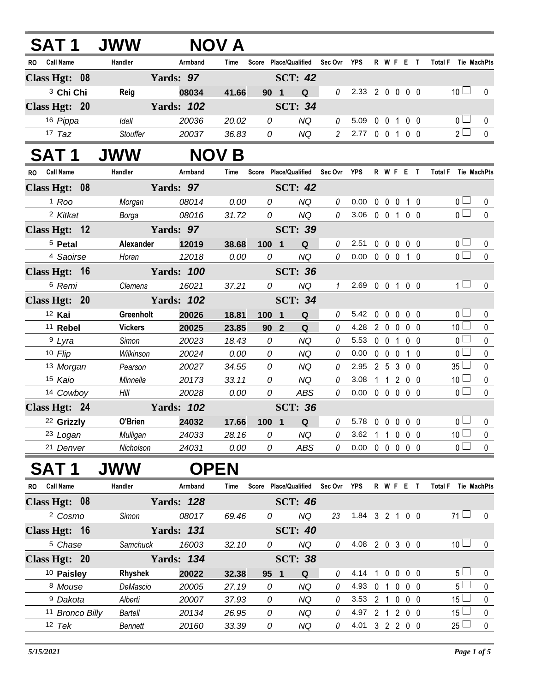| <b>SAT1</b>           | <b>JWW</b>     |                   | <b>NOV A</b> |                 |                                   |                |                            |             |           |                |                                   |                |
|-----------------------|----------------|-------------------|--------------|-----------------|-----------------------------------|----------------|----------------------------|-------------|-----------|----------------|-----------------------------------|----------------|
| RO Call Name          | Handler        | Armband           | Time         |                 | Score Place/Qualified Sec Ovr YPS |                |                            |             | R W F E T |                | Total F Tie MachPts               |                |
| Class Hgt: 08         |                | Yards: 97         |              |                 | <b>SCT: 42</b>                    |                |                            |             |           |                |                                   |                |
| <sup>3</sup> Chi Chi  | Reig           | 08034             | 41.66        | 90 1            | $\mathbf Q$                       | $\mathcal{O}$  | 2.33 2 0 0 0 0             |             |           |                | 10 <sup>1</sup>                   | $\mathbf 0$    |
| Class Hgt: 20         |                | <b>Yards: 102</b> |              |                 | <b>SCT: 34</b>                    |                |                            |             |           |                |                                   |                |
| 16 Pippa              | Idell          | 20036             | 20.02        | 0               | <b>NQ</b>                         | 0              | 5.09                       | $0 \t0 \t1$ |           | 0 <sub>0</sub> | 0 <sub>0</sub>                    | 0              |
| $17$ Taz              | Stouffer       | 20037             | 36.83        | 0               | <b>NQ</b>                         | $\overline{2}$ | 2.77 0 0 1 0 0             |             |           |                | $2^{\square}$                     | $\mathbf 0$    |
| <b>SAT 1</b>          | <b>JWW</b>     |                   | <b>NOV B</b> |                 |                                   |                |                            |             |           |                |                                   |                |
| RO Call Name          | Handler        | Armband           | Time         |                 | Score Place/Qualified             | Sec Ovr        | YPS                        |             | R W F E T |                | Total F Tie MachPts               |                |
| Class Hgt: 08         |                | Yards: 97         |              |                 | <b>SCT: 42</b>                    |                |                            |             |           |                |                                   |                |
| <sup>1</sup> Roo      | Morgan         | 08014             | 0.00         | 0               | <b>NQ</b>                         | 0              | 0.00                       |             | 0 0 0 1 0 |                | 0 <sub>1</sub>                    | 0              |
| 2 Kitkat              | Borga          | 08016             | 31.72        | $\overline{O}$  | <b>NQ</b>                         | $\theta$       | 3.06 0 0 1 0 0             |             |           |                | $\overline{0}$                    | $\mathbf{0}$   |
| Class Hgt: 12         |                | Yards: 97         |              |                 | <b>SCT: 39</b>                    |                |                            |             |           |                |                                   |                |
| <sup>5</sup> Petal    | Alexander      | 12019             | 38.68        | 100 1           | $\mathbf Q$                       | 0              | 2.51                       |             | 00000     |                | 0 <sup>1</sup>                    | 0              |
| <sup>4</sup> Saoirse  | Horan          | 12018             | 0.00         | 0               | <b>NQ</b>                         | $\mathcal{O}$  | $0.00 \t0 \t0 \t0 \t1 \t0$ |             |           |                | $_0$ $\square$                    | $\mathbf{0}$   |
| Class Hgt: 16         |                | <b>Yards: 100</b> |              |                 | <b>SCT: 36</b>                    |                |                            |             |           |                |                                   |                |
| 6 Remi                | Clemens        | 16021             | 37.21        | 0               | <b>NQ</b>                         | $\mathcal{I}$  | 2.69 0 0 1 0 0             |             |           |                | $\overline{1}$                    | $\mathbf 0$    |
| Class Hgt: 20         |                | <b>Yards: 102</b> |              |                 | <b>SCT: 34</b>                    |                |                            |             |           |                |                                   |                |
| 12 Kai                | Greenholt      | 20026             | 18.81        | 100 1           | $\mathbf Q$                       | 0              | 5.42 0 0 0 0 0             |             |           |                | 0 <sub>l</sub>                    | $\mathbf 0$    |
| <sup>11</sup> Rebel   | <b>Vickers</b> | 20025             | 23.85        | 90 <sub>2</sub> | Q                                 | 0              | 4.28                       |             | 2 0 0 0 0 |                | 10 <sup>1</sup>                   | $\pmb{0}$      |
| <sup>9</sup> Lyra     | Simon          | 20023             | 18.43        | 0               | <b>NQ</b>                         | 0              | 5.53                       |             | 0 0 1 0 0 |                | $\overline{0}$                    | $\pmb{0}$      |
| 10 Flip               | Wilkinson      | 20024             | 0.00         | 0               | <b>NQ</b>                         | 0              | 0.00                       |             | 0 0 0 1 0 |                | $\overline{0}$                    | $\mathbf 0$    |
| 13 Morgan             | Pearson        | 20027             | 34.55        | 0               | <b>NQ</b>                         | 0              | 2.95                       |             | 2 5 3 0 0 |                | 35 <sup>1</sup>                   | $\pmb{0}$      |
| 15 Kaio               | Minnella       | 20173             | 33.11        | 0               | NQ                                | 0              | 3.08                       |             | 1 1 2 0 0 |                | 10 <sup>1</sup>                   | $\pmb{0}$      |
| 14 Cowboy             | Hill           | 20028             | 0.00         | 0               | ABS                               | 0              | $0.00 \t0 \t0 \t0 \t0 \t0$ |             |           |                | 0 <sub>0</sub>                    | $\mathbf{0}$   |
| Class Hgt: 24         |                | <b>Yards: 102</b> |              |                 | <b>SCT: 36</b>                    |                |                            |             |           |                |                                   |                |
| 22 Grizzly            | O'Brien        | 24032             | 17.66        |                 | 100 1 Q                           |                | $0$ 5.78 0 0 0 0 0         |             |           |                | 0 <sub>0</sub>                    | $\overline{0}$ |
| 23 Logan              | Mulligan       | 24033             | 28.16        | 0               | NQ                                | 0              | 3.62 1 1 0 0 0             |             |           |                | 10 <sup>1</sup><br>0 <sub>0</sub> | $\mathbf 0$    |
| 21 Denver             | Nicholson      | 24031             | 0.00         | 0               | ABS                               | 0              | $0.00 \t0 \t0 \t0 \t0 \t0$ |             |           |                |                                   | $\mathbf 0$    |
| <b>SAT1</b>           |                | <b>OPEN</b>       |              |                 |                                   |                |                            |             |           |                |                                   |                |
| RO Call Name          | Handler        | Armband           | Time         |                 | Score Place/Qualified             | Sec Ovr YPS    |                            |             | R W F E T |                | Total F Tie MachPts               |                |
| Class Hgt: 08         |                | <b>Yards: 128</b> |              |                 | <b>SCT: 46</b>                    |                |                            |             |           |                |                                   |                |
| <sup>2</sup> Cosmo    | Simon          | 08017             | 69.46        | 0               | <b>NQ</b>                         | 23             | 1.84 3 2 1 0 0             |             |           |                | $71 \Box$                         | 0              |
| Class Hgt: 16         |                | <b>Yards: 131</b> |              |                 | <b>SCT: 40</b>                    |                |                            |             |           |                |                                   |                |
| <sup>5</sup> Chase    | Samchuck       | 16003             | 32.10        | 0               | NQ                                | 0              | 4.08 2 0 3 0 0             |             |           |                | 10 <sup>1</sup>                   | 0              |
| Class Hgt: 20         |                | <b>Yards: 134</b> |              |                 | <b>SCT: 38</b>                    |                |                            |             |           |                |                                   |                |
| <sup>10</sup> Paisley | Rhyshek        | 20022             | 32.38        | 95 1            | Q                                 | 0              | 4.14 1 0 0 0 0             |             |           |                | 5 <sub>1</sub>                    | $\mathsf{U}$   |
| 8 Mouse               | DeMascio       | 20005             | 27.19        | 0               | NQ                                | 0              | 4.93 0 1 0 0 0             |             |           |                | 5 <sub>1</sub>                    | $\mathbf 0$    |
| <sup>9</sup> Dakota   | Alberti        | 20007             | 37.93        | 0               | NQ                                | 0              | 3.53                       |             | 2 1 0 0 0 |                | $15\perp$                         | 0              |
| 11 Bronco Billy       | Bartell        | 20134             | 26.95        | 0               | NQ                                | 0              | 4.97 2 1 2 0 0             |             |           |                | $15 \Box$                         | $\pmb{0}$      |
| $12$ Tek              | <b>Bennett</b> | 20160             | 33.39        | 0               | NQ                                | 0              | 4.01 3 2 2 0 0             |             |           |                | $25 \Box$                         | $\pmb{0}$      |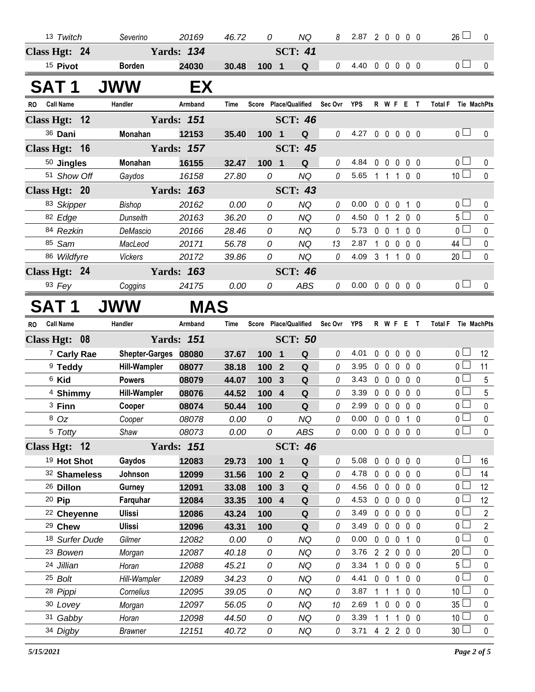| 13 Twitch                     | Severino              | 20169             | 46.72          | 0                     | NQ              | 8        | 2.87 2 0 0 0 0             |                |                           |                   |                | $26 \Box$                            | 0              |
|-------------------------------|-----------------------|-------------------|----------------|-----------------------|-----------------|----------|----------------------------|----------------|---------------------------|-------------------|----------------|--------------------------------------|----------------|
| Class Hgt: 24                 |                       | <b>Yards: 134</b> |                |                       | <b>SCT: 41</b>  |          |                            |                |                           |                   |                |                                      |                |
| <sup>15</sup> Pivot           | <b>Borden</b>         | 24030             | 30.48          | 100 1                 | Q               | 0        | 4.40 0 0 0 0 0             |                |                           |                   |                | 0 <sub>0</sub>                       | $\mathbf 0$    |
| SAT 1                         | <b>JWW</b>            | EX                |                |                       |                 |          |                            |                |                           |                   |                |                                      |                |
| <b>Call Name</b><br>RO.       | Handler               | Armband           | Time           | Score Place/Qualified |                 | Sec Ovr  | YPS                        |                | <b>RWFET</b>              |                   |                | <b>Total F</b><br>Tie MachPts        |                |
| Class Hgt: 12                 |                       | <b>Yards: 151</b> |                |                       | <b>SCT: 46</b>  |          |                            |                |                           |                   |                |                                      |                |
| 36 Dani                       | Monahan               | 12153             | 35.40          | 100 1                 | Q               | 0        | 4.27 0 0 0 0 0             |                |                           |                   |                | 0 <sub>1</sub>                       | 0              |
| Class Hgt: 16                 |                       | <b>Yards: 157</b> |                |                       | <b>SCT: 45</b>  |          |                            |                |                           |                   |                |                                      |                |
| 50 Jingles                    | Monahan               | 16155             | 32.47          | 100 1                 | Q               | $\theta$ | 4.84                       |                | 00000                     |                   |                | 0 <sub>1</sub>                       | 0              |
| 51 Show Off                   | Gaydos                | 16158             | 27.80          | 0                     | <b>NQ</b>       | 0        | 5.65                       |                | 11100                     |                   |                | 10 <sup>1</sup>                      | $\mathbf 0$    |
| Class Hgt: 20                 |                       | <b>Yards: 163</b> |                |                       | <b>SCT: 43</b>  |          |                            |                |                           |                   |                |                                      |                |
| 83 Skipper                    | <b>Bishop</b>         | 20162             | 0.00           | 0                     | NQ              | $\theta$ | 0.00                       |                | 00010                     |                   |                | 0 <sub>1</sub>                       | 0              |
| 82 Edge                       | Dunseith              | 20163             | 36.20          | 0                     | <b>NQ</b>       | 0        | 4.50                       | 0 <sub>1</sub> |                           | 200               |                | $5\Box$                              | 0              |
| 84 Rezkin                     | DeMascio              | 20166             | 28.46          | 0                     | <b>NQ</b>       | 0        | 5.73                       |                | 0 0 1 0 0                 |                   |                | 0 L                                  | 0              |
| 85 Sam                        | MacLeod               | 20171             | 56.78          | 0                     | <b>NQ</b>       | 13       | 2.87                       |                | 10000                     |                   |                | 44 $\Box$                            | $\mathbf 0$    |
| 86 Wildfyre                   | <b>Vickers</b>        | 20172             | 39.86          | 0                     | <b>NQ</b>       | 0        | 4.09                       |                | 3 1 1 0 0                 |                   |                | 20 <sub>2</sub>                      | $\mathbf 0$    |
| Class Hgt: 24                 |                       | <b>Yards: 163</b> |                |                       | <b>SCT: 46</b>  |          |                            |                |                           |                   |                |                                      |                |
| $93$ Fey                      | Coggins               | 24175             | 0.00           | 0                     | <b>ABS</b>      | 0        | $0.00 \t0 \t0 \t0 \t0 \t0$ |                |                           |                   |                | 0 <sub>0</sub>                       | $\mathbf{0}$   |
| SAT 1                         | JWW                   | <b>MAS</b>        |                |                       |                 |          |                            |                |                           |                   |                |                                      |                |
| <b>Call Name</b><br><b>RO</b> | Handler               | Armband           | Time           | Score Place/Qualified |                 | Sec Ovr  | YPS                        |                | <b>RWFET</b>              |                   |                | <b>Total F</b><br><b>Tie MachPts</b> |                |
| Class Hgt: 08                 |                       | <b>Yards: 151</b> |                |                       | <b>SCT: 50</b>  |          |                            |                |                           |                   |                |                                      |                |
|                               |                       |                   |                |                       |                 |          |                            |                |                           |                   |                |                                      |                |
| <sup>7</sup> Carly Rae        | <b>Shepter-Garges</b> | 08080             | 37.67          | 100<br>$\blacksquare$ | Q               | 0        | 4.01                       | 0              | $\mathbf 0$               | $0\quad 0\quad 0$ |                | 0 <sub>1</sub>                       | 12             |
| <sup>9</sup> Teddy            | <b>Hill-Wampler</b>   | 08077             | 38.18          | 100<br>$\mathbf{2}$   | Q               | 0        | 3.95                       | $0\quad 0$     | 0                         |                   | 0 <sub>0</sub> | 0 <sub>1</sub>                       | 11             |
| 6 Kid                         | <b>Powers</b>         | 08079             | 44.07          | 100<br>$\mathbf{3}$   | Q               | 0        | 3.43                       | $0\quad 0$     | $\mathbf 0$               |                   | $0\quad 0$     | $_0 \sqcup$                          | 5              |
| 4 Shimmy                      | <b>Hill-Wampler</b>   | 08076             | 44.52          | 100 4                 | Q               | 0        | 3.39                       | $0\quad 0$     | $\mathbf 0$               |                   | $0\quad 0$     | $\overline{0}$                       | 5              |
| 3 Finn                        | Cooper                | 08074             | 50.44          | 100                   | ${\bf Q}$       | 0        | 2.99                       |                | 00000                     |                   |                | 0 <sub>0</sub>                       | $\pmb{0}$      |
| 8 Oz                          | Cooper                | 08078             | 0.00           | 0                     | <b>NQ</b>       | 0        | $0.00 \t0 \t0 \t0 \t1 \t0$ |                |                           |                   |                | 0 L                                  | $\mathbf 0$    |
| 5 Totty                       | Shaw                  | 08073             | 0.00           | 0                     | ABS             | $\theta$ | $0.00 \t0 \t0 \t0 \t0 \t0$ |                |                           |                   |                | $\overline{0}$                       | $\mathbf 0$    |
| Class Hgt: 12                 |                       | <b>Yards: 151</b> |                |                       | <b>SCT: 46</b>  |          |                            |                |                           |                   |                |                                      |                |
| <sup>19</sup> Hot Shot        | Gaydos                | 12083             | 29.73          | 100 1                 | Q               | 0        | 5.08                       |                | 00000                     |                   |                | 0 <sub>0</sub>                       | 16             |
| 32 Shameless                  | Johnson               | 12099             | 31.56          | 100 2                 | Q               | 0        | 4.78                       |                | 00000                     |                   |                | 0 <sup>1</sup>                       | 14             |
| <sup>26</sup> Dillon          | Gurney                | 12091             | 33.08          | 100 3                 | Q               | 0        | 4.56                       | $0\quad 0$     | $\mathbf 0$               |                   | $0\quad 0$     | 0 L                                  | 12             |
| 20 Pip                        | Farquhar              | 12084             | 33.35          | 100 4                 | Q               | 0        | 4.53                       | $0\quad 0$     | $\mathbf 0$               |                   | 0 <sub>0</sub> | 0 <sup>L</sup>                       | 12             |
| <sup>22</sup> Cheyenne        | Ulissi                | 12086             | 43.24          | 100                   | Q               | 0        | 3.49                       | $0\quad 0$     |                           | $0\quad 0\quad 0$ |                | 0 <sup>L</sup>                       | $\overline{2}$ |
| <sup>29</sup> Chew            | <b>Ulissi</b>         | 12096             | 43.31          | 100                   | Q               | 0        | 3.49                       |                | 00000                     |                   |                | 0 <sup>1</sup>                       | $\overline{2}$ |
| 18 Surfer Dude                | Gilmer                | 12082             | 0.00           | 0                     | ΝQ              | 0<br>0   | 0.00                       | $0\quad 0$     | $\mathbf 0$               |                   | 10             | 0 L                                  | 0              |
| <sup>23</sup> Bowen           | Morgan                | 12087             | 40.18          | 0                     | <b>NQ</b>       | 0        | 3.76<br>3.34               |                | 2 2 0 0 0                 |                   |                | 20 <sup>1</sup><br>5 L               | $\pmb{0}$      |
| 24 Jillian<br>25 Bolt         | Horan<br>Hill-Wampler | 12088<br>12089    | 45.21<br>34.23 | 0<br>0                | NQ<br><b>NQ</b> | 0        | 4.41                       | $0\quad 0$     | 1 0 0 0 0<br>$\mathbf{1}$ |                   | $0\quad 0$     | 0 <sub>0</sub>                       | 0<br>$\pmb{0}$ |
| 28 Pippi                      | Cornelius             | 12095             | 39.05          | 0                     | NQ              | 0        | 3.87                       | $1\quad1$      | 1                         |                   | $0\quad 0$     | 10 <sup>1</sup>                      | 0              |
| 30 Lovey                      | Morgan                | 12097             | 56.05          | 0                     | <b>NQ</b>       | 10       | 2.69                       |                | 1 0 0                     |                   | $0\quad 0$     | $35^{\frac{1}{2}}$                   | $\mathbf 0$    |
| 31 Gabby                      | Horan                 | 12098             | 44.50          | 0                     | NQ              | 0        | 3.39                       | $1\quad1$      |                           | $1 0 0$           |                | 10 $\lfloor$                         | 0              |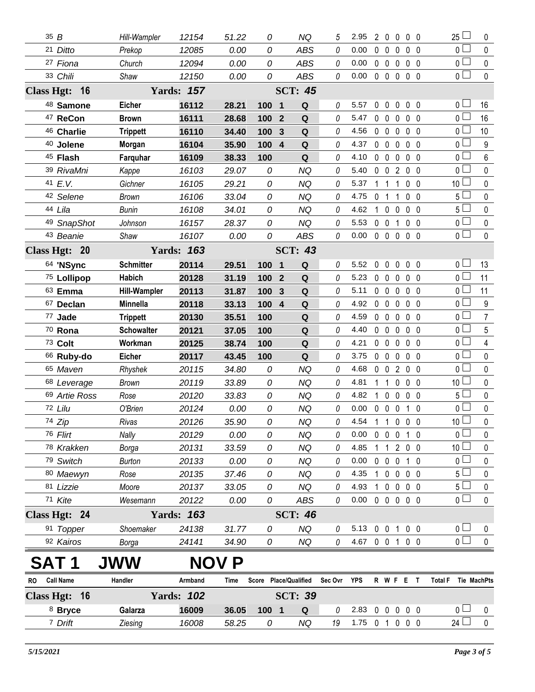|    | 35B                 | Hill-Wampler        | 12154             | 51.22 | 0     | <b>NQ</b>                    | 5           | 2.95           | $\overline{2}$ | $\mathbf{0}$   | $\mathbf{0}$      |                   | 0 <sub>0</sub> | $\Box$<br>25          | 0                |
|----|---------------------|---------------------|-------------------|-------|-------|------------------------------|-------------|----------------|----------------|----------------|-------------------|-------------------|----------------|-----------------------|------------------|
|    | 21 Ditto            | Prekop              | 12085             | 0.00  | 0     | <b>ABS</b>                   | 0           | 0.00           | 0              | $\mathbf 0$    | $\mathbf{0}$      |                   | 0 <sub>0</sub> | 0 <sub>1</sub>        | $\mathbf 0$      |
|    | 27 Fiona            | Church              | 12094             | 0.00  | 0     | <b>ABS</b>                   | 0           | 0.00           |                | $0\quad 0$     | 0                 |                   | 0 <sub>0</sub> | $\overline{0}$        | $\pmb{0}$        |
|    | 33 Chili            | Shaw                | 12150             | 0.00  | 0     | <b>ABS</b>                   | 0           | 0.00           |                | $0\quad 0$     | $\mathbf 0$       |                   | 0 <sub>0</sub> | $\overline{0}$ $\Box$ | $\mathbf 0$      |
|    | Class Hgt: 16       |                     | <b>Yards: 157</b> |       |       | <b>SCT: 45</b>               |             |                |                |                |                   |                   |                |                       |                  |
|    | 48 Samone           | <b>Eicher</b>       | 16112             | 28.21 | 100 1 | Q                            | 0           | 5.57           | 0              | $\overline{0}$ | $\mathbf 0$       |                   | $0\quad 0$     | $0 -$                 | 16               |
|    | <sup>47</sup> ReCon | <b>Brown</b>        | 16111             | 28.68 | 100   | Q<br>$\overline{2}$          | 0           | 5.47           |                | $0\quad 0$     | $\mathbf 0$       |                   | 0 <sub>0</sub> | 0 <sub>1</sub>        | 16               |
|    | 46 Charlie          | <b>Trippett</b>     | 16110             | 34.40 | 100 3 | ${\bf Q}$                    | 0           | 4.56           |                | $0\quad 0$     | $\mathbf{0}$      |                   | 0 <sub>0</sub> | 0 <sup>1</sup>        | 10               |
|    | 40 Jolene           | Morgan              | 16104             | 35.90 | 100 4 | Q                            | 0           | 4.37           |                | 0 <sub>0</sub> | $\mathbf 0$       |                   | 0 <sub>0</sub> | 0 <sub>0</sub>        | $9\,$            |
|    | <sup>45</sup> Flash | Farquhar            | 16109             | 38.33 | 100   | Q                            | 0           | 4.10           | 0              | $\overline{0}$ | 0                 |                   | $0\quad 0$     | $\overline{0}$        | 6                |
|    | 39 RivaMni          | Kappe               | 16103             | 29.07 | 0     | <b>NQ</b>                    | 0           | 5.40           |                | $0\quad 0$     | $\overline{2}$    |                   | 0 <sub>0</sub> | 0 <sub>0</sub>        | $\mathbf 0$      |
|    | 41 E.V.             | Gichner             | 16105             | 29.21 | 0     | <b>NQ</b>                    | 0           | 5.37           |                | $1\quad1$      | $\mathbf 1$       |                   | 0 <sub>0</sub> | 10 <sup>1</sup>       | $\mathbf 0$      |
|    | 42 Selene           | <b>Brown</b>        | 16106             | 33.04 | 0     | <b>NQ</b>                    | 0           | 4.75           | $\Omega$       | $\overline{1}$ |                   |                   | 0 <sub>0</sub> | 5 <sub>1</sub>        | $\mathbf 0$      |
|    | 44 Lila             | <b>Bunin</b>        | 16108             | 34.01 | 0     | NQ                           | 0           | 4.62           |                | $1\quad 0$     | $\mathbf 0$       |                   | 0 <sub>0</sub> | $5\Box$               | $\pmb{0}$        |
|    | 49 SnapShot         | Johnson             | 16157             | 28.37 | 0     | <b>NQ</b>                    | 0           | 5.53           |                | $0\quad 0$     | $\mathbf{1}$      |                   | 0 <sub>0</sub> | 0 <sup>1</sup>        | $\pmb{0}$        |
|    | 43 Beanie           | Shaw                | 16107             | 0.00  | 0     | ABS                          | 0           | 0.00           |                |                |                   | 00000             |                | $\overline{0}$        | $\mathbf 0$      |
|    | Class Hgt: 20       |                     | <b>Yards: 163</b> |       |       | <b>SCT: 43</b>               |             |                |                |                |                   |                   |                |                       |                  |
|    | 64 'NSync           | <b>Schmitter</b>    | 20114             | 29.51 | 100   | Q<br>$\overline{\mathbf{1}}$ | 0           | 5.52           | 0              | $\mathbf 0$    | 0                 |                   | 0 <sub>0</sub> | 0 <sub>1</sub>        | 13               |
|    | 75 Lollipop         | <b>Habich</b>       | 20128             | 31.19 | 100 2 | Q                            | 0           | 5.23           |                | $0\quad 0$     | $\mathbf{0}$      |                   | 0 <sub>0</sub> | $\overline{0}$        | 11               |
|    | 63 Emma             | <b>Hill-Wampler</b> | 20113             | 31.87 | 100   | $\mathbf{3}$<br>Q            | 0           | 5.11           |                | $0\quad 0$     | $\mathbf 0$       |                   | 0 <sub>0</sub> | $\overline{0}$        | 11               |
|    | 67 Declan           | Minnella            | 20118             | 33.13 | 100 4 | Q                            | 0           | 4.92           |                | $0\quad 0$     | $\mathbf 0$       |                   | $0\quad 0$     | $\overline{0}$        | $\boldsymbol{9}$ |
|    | 77 Jade             | <b>Trippett</b>     | 20130             | 35.51 | 100   | Q                            | 0           | 4.59           |                | $0\quad 0$     | $\mathbf 0$       |                   | 0 <sub>0</sub> | 0 <sub>1</sub>        | $\overline{7}$   |
|    | 70 Rona             | <b>Schowalter</b>   | 20121             | 37.05 | 100   | Q                            | 0           | 4.40           |                | $0\quad 0$     | $\mathbf 0$       |                   | 0 <sub>0</sub> | $\overline{0}$        | 5                |
|    | 73 Colt             | Workman             | 20125             | 38.74 | 100   | Q                            | 0           | 4.21           |                | $0\quad 0$     | $\mathbf 0$       |                   | 0 <sub>0</sub> | 0 <sub>1</sub>        | 4                |
|    | 66 Ruby-do          | <b>Eicher</b>       | 20117             | 43.45 | 100   | Q                            | 0           | 3.75           |                | $0\quad 0$     | 0                 |                   | $0\quad 0$     | $\overline{0}$        | $\mathbf 0$      |
|    | 65 Maven            | Rhyshek             | 20115             | 34.80 | 0     | <b>NQ</b>                    | 0           | 4.68           |                | $0\quad 0$     | $\overline{2}$    |                   | 0 <sub>0</sub> | 0 <sub>0</sub>        | $\mathbf 0$      |
|    | 68 Leverage         | <b>Brown</b>        | 20119             | 33.89 | 0     | <b>NQ</b>                    | 0           | 4.81           | 1              | $\overline{1}$ | $\mathbf 0$       |                   | 0 <sub>0</sub> | 10 <sup>1</sup>       | $\pmb{0}$        |
|    | 69 Artie Ross       | Rose                | 20120             | 33.83 | 0     | <b>NQ</b>                    | 0           | 4.82           | $\mathbf{1}$   | $\overline{0}$ | $\mathbf 0$       |                   | 0 <sub>0</sub> | 5 l                   | $\pmb{0}$        |
|    | 72 Lilu             | O'Brien             | 20124             | 0.00  | 0     | <b>NQ</b>                    | 0           | 0.00           |                | $0\quad 0$     | $\mathbf 0$       |                   | $1\quad0$      | $\overline{0}$        | $\mathbf 0$      |
|    | 74 Zip              | Rivas               | 20126             | 35.90 | 0     | <b>NQ</b>                    | 0           | 4.54 1 1 0 0 0 |                |                |                   |                   |                | 10 <sup>2</sup>       | $\mathbf 0$      |
|    | 76 Flirt            | Nally               | 20129             | 0.00  | 0     | NQ                           | 0           | 0.00           |                |                |                   | 0 0 0 1 0         |                | $\overline{0}$        | $\mathbf 0$      |
|    | 78 Krakken          | Borga               | 20131             | 33.59 | 0     | <b>NQ</b>                    | 0           | 4.85           |                | 11             |                   | 200               |                | 10 <sup>1</sup>       | 0                |
|    | 79 Switch           | <b>Burton</b>       | 20133             | 0.00  | 0     | <b>NQ</b>                    | 0           | 0.00           |                |                | $0\quad 0\quad 0$ | $1\quad0$         |                | 0 <sup>1</sup>        | $\pmb{0}$        |
|    | 80 Maewyn           | Rose                | 20135             | 37.46 | 0     | <b>NQ</b>                    | 0           | 4.35           |                | $1\quad 0$     |                   | $0\quad 0\quad 0$ |                | 5 <sub>1</sub>        | 0                |
|    | 81 Lizzie           | Moore               | 20137             | 33.05 | 0     | <b>NQ</b>                    | 0           | 4.93           |                | $1\quad0$      |                   | $0\quad 0\quad 0$ |                | 5 $\Box$              | $\pmb{0}$        |
|    | 71 Kite             | Wesemann            | 20122             | 0.00  | 0     | ABS                          | 0           | 0.00           |                |                |                   | 0 0 0 0 0         |                | $\overline{0}$        | $\mathbf 0$      |
|    | Class Hgt: 24       |                     | <b>Yards: 163</b> |       |       | <b>SCT: 46</b>               |             |                |                |                |                   |                   |                |                       |                  |
|    | 91 Topper           | Shoemaker           | 24138             | 31.77 | 0     | <b>NQ</b>                    | 0           | 5.13 0 0 1 0 0 |                |                |                   |                   |                | 0 <sub>1</sub>        | 0                |
|    | 92 Kairos           | Borga               | 24141             | 34.90 | 0     | <b>NQ</b>                    | 0           | 4.67           |                |                |                   | 0 0 1 0 0         |                | 0 <sub>0</sub>        | $\mathbf 0$      |
|    | SAT 1               | <b>JWW</b>          | <b>NO</b>         | P     |       |                              |             |                |                |                |                   |                   |                |                       |                  |
| RO | <b>Call Name</b>    | Handler             | Armband           | Time  |       | Score Place/Qualified        | Sec Ovr YPS |                |                |                |                   | R W F E T         |                | Total F Tie MachPts   |                  |
|    | Class Hgt: 16       |                     | <b>Yards: 102</b> |       |       | <b>SCT: 39</b>               |             |                |                |                |                   |                   |                |                       |                  |
|    | 8 Bryce             | Galarza             | 16009             | 36.05 | 100 1 | Q                            | 0           | 2.83           |                |                |                   | 00000             |                | 0 <sub>1</sub>        | 0                |
|    | 7 Drift             | Ziesing             | 16008             | 58.25 | 0     | NQ                           | 19          | 1.75 0 1 0 0 0 |                |                |                   |                   |                | $24$ $\Box$           | $\pmb{0}$        |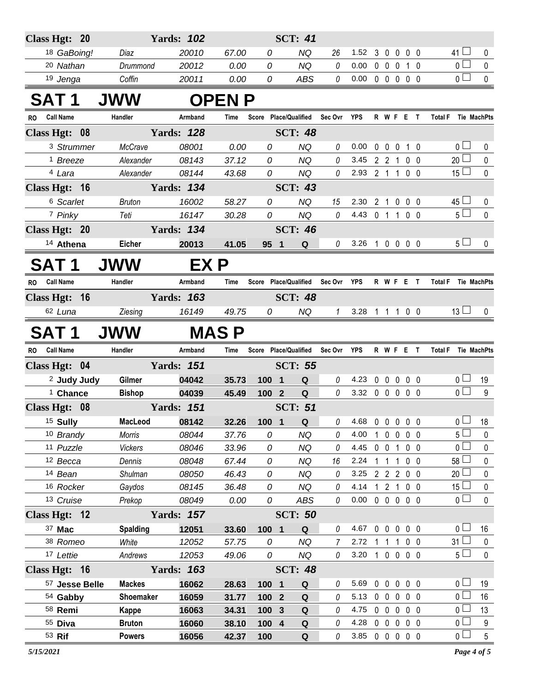| Class Hgt: 20                 |               | <b>Yards: 102</b> |                |                |                       | <b>SCT: 41</b>        |               |                |                |             |                   |                          |                                      |              |
|-------------------------------|---------------|-------------------|----------------|----------------|-----------------------|-----------------------|---------------|----------------|----------------|-------------|-------------------|--------------------------|--------------------------------------|--------------|
| 18 GaBoing!                   | Diaz          |                   | 20010          | 67.00          | 0                     | NQ                    | 26            | 1.52           | 3              | $\mathbf 0$ | $\mathbf 0$       | $0\quad 0$               | 41 $\Box$                            | 0            |
| <sup>20</sup> Nathan          |               | Drummond          | 20012          | 0.00           | 0                     | <b>NQ</b>             | 0             | 0.00           | $\mathbf 0$    | $\mathbf 0$ | $\mathbf 0$       | $1\quad0$                | 0 L                                  | 0            |
| 19 Jenga                      | Coffin        |                   | 20011          | 0.00           | 0                     | <b>ABS</b>            | 0             | 0.00           |                |             | 0 0 0 0 0         |                          | 0 <sub>0</sub>                       | $\pmb{0}$    |
| <b>SAT 1</b>                  | <b>JWW</b>    |                   |                | <b>OPEN P</b>  |                       |                       |               |                |                |             |                   |                          |                                      |              |
| <b>Call Name</b><br>RO.       | Handler       |                   | Armband        | Time           |                       | Score Place/Qualified | Sec Ovr YPS   |                |                |             |                   | R W F E T                | Total F Tie MachPts                  |              |
| Class Hgt: 08                 |               | <b>Yards: 128</b> |                |                |                       | <b>SCT: 48</b>        |               |                |                |             |                   |                          |                                      |              |
| 3 Strummer                    |               | McCrave           | 08001          | 0.00           | 0                     | <b>NQ</b>             | $\theta$      | 0.00           | 0              | 0           | $\mathbf 0$       | $1\quad0$                | 0 <sub>1</sub>                       | 0            |
| <sup>1</sup> Breeze           |               | Alexander         | 08143          | 37.12          | 0                     | <b>NQ</b>             | 0             | 3.45           |                | 221         |                   | $0\quad 0$               | 20 <sup>1</sup>                      | 0            |
| 4 Lara                        |               | Alexander         | 08144          | 43.68          | 0                     | NQ                    | 0             | 2.93           | 2 <sub>1</sub> |             | $\overline{1}$    | $0\quad 0$               | 15 <sup>1</sup>                      | $\pmb{0}$    |
| Class Hgt: 16                 |               | <b>Yards: 134</b> |                |                |                       | <b>SCT: 43</b>        |               |                |                |             |                   |                          |                                      |              |
| 6 Scarlet                     | <b>Bruton</b> |                   | 16002          | 58.27          | 0                     | <b>NQ</b>             | 15            | 2.30           | 2 1            |             | $0\quad 0\quad 0$ |                          | 45 L                                 | 0            |
| 7 Pinky                       | Teti          |                   | 16147          | 30.28          | 0                     | <b>NQ</b>             | 0             | 4.43           | 0 <sub>1</sub> |             | $\mathbf{1}$      | $0\quad 0$               | $5 \Box$                             | $\mathbf 0$  |
| Class Hgt: 20                 |               | <b>Yards: 134</b> |                |                |                       | <b>SCT: 46</b>        |               |                |                |             |                   |                          |                                      |              |
| 14 Athena                     | Eicher        |                   | 20013          | 41.05          | 95 1                  | Q                     | 0             | 3.26 1 0 0 0 0 |                |             |                   |                          | 5 <sub>1</sub>                       | 0            |
| SAT 1                         | <b>JWW</b>    |                   | EX P           |                |                       |                       |               |                |                |             |                   |                          |                                      |              |
| <b>Call Name</b><br><b>RO</b> | Handler       |                   | Armband        | <b>Time</b>    | Score Place/Qualified |                       | Sec Ovr       | <b>YPS</b>     |                |             | R W F E T         |                          | <b>Total F</b><br><b>Tie MachPts</b> |              |
| Class Hgt: 16                 |               | <b>Yards: 163</b> |                |                |                       | <b>SCT: 48</b>        |               |                |                |             |                   |                          |                                      |              |
| 62 Luna                       | Ziesing       |                   | 16149          | 49.75          | 0                     | NQ                    | $\mathcal{I}$ | 3.28 1 1 1 0 0 |                |             |                   |                          | $13 \Box$                            | $\mathbf{0}$ |
| SAT 1                         | <b>JWW</b>    |                   |                | <b>MAS P</b>   |                       |                       |               |                |                |             |                   |                          |                                      |              |
| <b>Call Name</b><br><b>RO</b> | Handler       |                   | Armband        | <b>Time</b>    | Score Place/Qualified |                       | Sec Ovr       | <b>YPS</b>     |                |             | R W F E           | $\mathsf{T}$             | <b>Total F</b><br>Tie MachPts        |              |
| Class Hgt: 04                 |               | <b>Yards: 151</b> |                |                |                       | <b>SCT: 55</b>        |               |                |                |             |                   |                          |                                      |              |
| <sup>2</sup> Judy Judy        | <b>Gilmer</b> |                   | 04042          | 35.73          | 100 1                 | Q                     | 0             | 4.23           |                |             | 00000             |                          | 0 <sub>0</sub>                       | 19           |
| <sup>1</sup> Chance           | <b>Bishop</b> |                   | 04039          | 45.49          | 100 2                 | ${\bf Q}$             | $\theta$      | 3.32           |                |             |                   | 00000                    | 0 <sub>0</sub>                       | 9            |
| Class Hgt: 08                 |               | <b>Yards: 151</b> |                |                |                       | <b>SCT: 51</b>        |               |                |                |             |                   |                          |                                      |              |
| 15 Sully                      |               | MacLeod           | 08142          | 32.26          | 100 1                 | Q                     | 0             | 4.68           |                |             | 00000             |                          | 冖<br>0 <sub>1</sub>                  | 18           |
| 10 Brandy                     | Morris        |                   | 08044          | 37.76          | 0                     | <b>NQ</b>             | 0             | 4.00           | $\mathbf{1}$   |             |                   | $0\quad 0\quad 0\quad 0$ | 5 <sup>1</sup>                       | $\pmb{0}$    |
| 11 Puzzle                     |               | <b>Vickers</b>    | 08046          | 33.96          | 0                     | <b>NQ</b>             | 0             | 4.45           |                |             |                   | 0 0 1 0 0                | $\mathbf 0$                          | 0            |
| 12 Becca                      | Dennis        |                   | 08048          | 67.44          | 0                     | <b>NQ</b>             | 16            | 2.24           | $1 \quad 1$    |             |                   | 1 0 0                    | 58 <sup>1</sup>                      | 0            |
| 14 Bean                       |               | Shulman           | 08050          | 46.43          | 0                     | <b>NQ</b>             | 0             | 3.25           |                |             |                   | 2 2 2 0 0                | 20 <sup>1</sup>                      | 0            |
| 16 Rocker                     |               | Gaydos            | 08145          | 36.48          | 0                     | <b>NQ</b>             | 0<br>0        | 4.14<br>0.00   |                |             |                   | 1 2 1 0 0<br>0 0 0 0 0   | 15 <sup>1</sup><br>0 l               | 0            |
| 13 Cruise                     | Prekop        |                   | 08049          | 0.00           | 0                     | ABS                   |               |                |                |             |                   |                          |                                      | 0            |
| Class Hgt: $12$<br>37 Mac     |               | <b>Yards: 157</b> |                |                |                       | <b>SCT: 50</b>        | 0             | 4.67           | $0\quad 0$     |             | $\mathbf 0$       | 0 <sub>0</sub>           | 0 <sup>1</sup>                       |              |
| 38 Romeo                      | White         | <b>Spalding</b>   | 12051<br>12052 | 33.60<br>57.75 | 100 1<br>0            | Q<br><b>NQ</b>        | 7             | 2.72           |                | $1 \quad 1$ |                   | 100                      | 31 <sup>1</sup>                      | 16<br>0      |
| 17 Lettie                     |               | Andrews           | 12053          | 49.06          | 0                     | NQ                    | 0             | 3.20           |                |             |                   | 1 0 0 0 0                | 5 <sub>1</sub>                       | $\pmb{0}$    |
| Class Hgt: 16                 |               | <b>Yards: 163</b> |                |                |                       | <b>SCT: 48</b>        |               |                |                |             |                   |                          |                                      |              |
| 57 Jesse Belle                |               | <b>Mackes</b>     | 16062          | 28.63          | 100 1                 | Q                     | 0             | 5.69           |                |             |                   | 00000                    | 0 <sub>l</sub>                       | 19           |
| 54 Gabby                      |               | Shoemaker         | 16059          | 31.77          | 100 2                 | $\mathbf Q$           | 0             | 5.13           |                |             |                   | 00000                    | 0 <sub>0</sub>                       | 16           |
| 58 Remi                       | Kappe         |                   | 16063          | 34.31          | 100 3                 | Q                     | 0             | 4.75           |                |             |                   | 00000                    | 0 l                                  | 13           |
|                               |               |                   |                |                |                       |                       |               |                |                |             |                   |                          |                                      |              |
| 55 Diva                       | <b>Bruton</b> |                   | 16060          | 38.10          | 100 4                 | Q                     | 0             | 4.28           |                |             |                   | 00000                    | 0 L                                  | 9            |